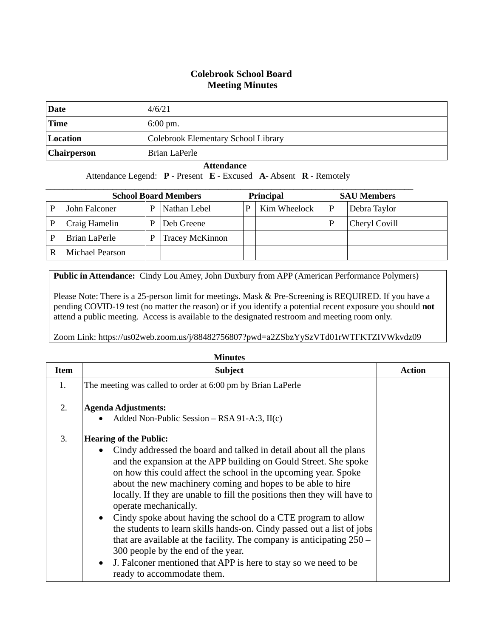## **Colebrook School Board Meeting Minutes**

| Date               | 4/6/21                              |
|--------------------|-------------------------------------|
| <b>Time</b>        | $6:00 \text{ pm}$ .                 |
| Location           | Colebrook Elementary School Library |
| <b>Chairperson</b> | Brian LaPerle                       |

## **Attendance**

Attendance Legend: **P** - Present **E** - Excused **A**- Absent **R** - Remotely

| <b>School Board Members</b> |                 |   |                        | <b>Principal</b> |              | <b>SAU Members</b> |
|-----------------------------|-----------------|---|------------------------|------------------|--------------|--------------------|
|                             | John Falconer   | P | Nathan Lebel           | Ρ                | Kim Wheelock | Debra Taylor       |
|                             | Craig Hamelin   | D | Deb Greene             |                  |              | Cheryl Covill      |
|                             | Brian LaPerle   | P | <b>Tracey McKinnon</b> |                  |              |                    |
|                             | Michael Pearson |   |                        |                  |              |                    |

**Public in Attendance:** Cindy Lou Amey, John Duxbury from APP (American Performance Polymers)

Please Note: There is a 25-person limit for meetings. Mask & Pre-Screening is REQUIRED. If you have a pending COVID-19 test (no matter the reason) or if you identify a potential recent exposure you should **not** attend a public meeting. Access is available to the designated restroom and meeting room only.

Zoom Link: https://us02web.zoom.us/j/88482756807?pwd=a2ZSbzYySzVTd01rWTFKTZIVWkvdz09

| <b>Minutes</b> |                                                                                                                                                                                                                                                                                                                                                                                                                                                                                                                                                                                                                                                                                                                                                                                      |               |  |  |  |
|----------------|--------------------------------------------------------------------------------------------------------------------------------------------------------------------------------------------------------------------------------------------------------------------------------------------------------------------------------------------------------------------------------------------------------------------------------------------------------------------------------------------------------------------------------------------------------------------------------------------------------------------------------------------------------------------------------------------------------------------------------------------------------------------------------------|---------------|--|--|--|
| <b>Item</b>    | <b>Subject</b>                                                                                                                                                                                                                                                                                                                                                                                                                                                                                                                                                                                                                                                                                                                                                                       | <b>Action</b> |  |  |  |
| 1.             | The meeting was called to order at 6:00 pm by Brian LaPerle                                                                                                                                                                                                                                                                                                                                                                                                                                                                                                                                                                                                                                                                                                                          |               |  |  |  |
| 2.             | <b>Agenda Adjustments:</b><br>Added Non-Public Session – RSA 91-A:3, II(c)                                                                                                                                                                                                                                                                                                                                                                                                                                                                                                                                                                                                                                                                                                           |               |  |  |  |
| 3.             | <b>Hearing of the Public:</b><br>Cindy addressed the board and talked in detail about all the plans<br>$\bullet$<br>and the expansion at the APP building on Gould Street. She spoke<br>on how this could affect the school in the upcoming year. Spoke<br>about the new machinery coming and hopes to be able to hire<br>locally. If they are unable to fill the positions then they will have to<br>operate mechanically.<br>Cindy spoke about having the school do a CTE program to allow<br>$\bullet$<br>the students to learn skills hands-on. Cindy passed out a list of jobs<br>that are available at the facility. The company is anticipating $250 -$<br>300 people by the end of the year.<br>J. Falconer mentioned that APP is here to stay so we need to be<br>$\bullet$ |               |  |  |  |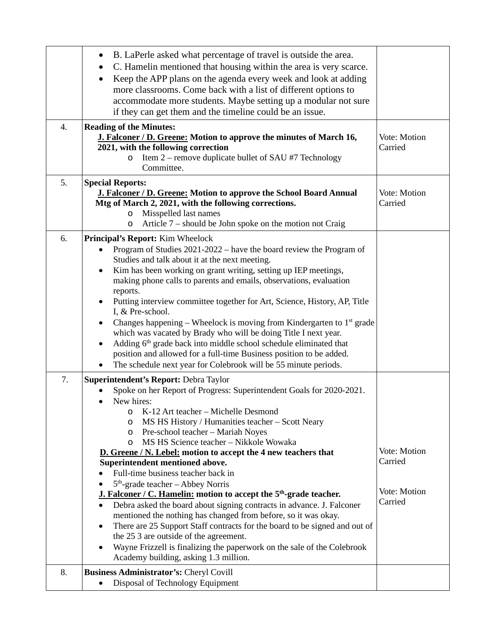|    | B. LaPerle asked what percentage of travel is outside the area.<br>C. Hamelin mentioned that housing within the area is very scarce.<br>Keep the APP plans on the agenda every week and look at adding<br>$\bullet$<br>more classrooms. Come back with a list of different options to<br>accommodate more students. Maybe setting up a modular not sure<br>if they can get them and the timeline could be an issue.                                                                                                                                                                                                                                                                                                                                                                                                                                                                                                                                                                                                                          |                                                    |
|----|----------------------------------------------------------------------------------------------------------------------------------------------------------------------------------------------------------------------------------------------------------------------------------------------------------------------------------------------------------------------------------------------------------------------------------------------------------------------------------------------------------------------------------------------------------------------------------------------------------------------------------------------------------------------------------------------------------------------------------------------------------------------------------------------------------------------------------------------------------------------------------------------------------------------------------------------------------------------------------------------------------------------------------------------|----------------------------------------------------|
| 4. | <b>Reading of the Minutes:</b><br>J. Falconer / D. Greene: Motion to approve the minutes of March 16,<br>2021, with the following correction<br>Item 2 – remove duplicate bullet of SAU #7 Technology<br>$\circ$<br>Committee.                                                                                                                                                                                                                                                                                                                                                                                                                                                                                                                                                                                                                                                                                                                                                                                                               | Vote: Motion<br>Carried                            |
| 5. | <b>Special Reports:</b><br>J. Falconer / D. Greene: Motion to approve the School Board Annual<br>Mtg of March 2, 2021, with the following corrections.<br>Misspelled last names<br>$\circ$<br>Article 7 – should be John spoke on the motion not Craig<br>$\circ$                                                                                                                                                                                                                                                                                                                                                                                                                                                                                                                                                                                                                                                                                                                                                                            | Vote: Motion<br>Carried                            |
| 6. | Principal's Report: Kim Wheelock<br>Program of Studies 2021-2022 – have the board review the Program of<br>Studies and talk about it at the next meeting.<br>Kim has been working on grant writing, setting up IEP meetings,<br>$\bullet$<br>making phone calls to parents and emails, observations, evaluation<br>reports.<br>Putting interview committee together for Art, Science, History, AP, Title<br>I, & Pre-school.<br>Changes happening – Wheelock is moving from Kindergarten to $1st$ grade<br>which was vacated by Brady who will be doing Title I next year.<br>Adding 6 <sup>th</sup> grade back into middle school schedule eliminated that<br>$\bullet$<br>position and allowed for a full-time Business position to be added.<br>The schedule next year for Colebrook will be 55 minute periods.                                                                                                                                                                                                                           |                                                    |
| 7. | Superintendent's Report: Debra Taylor<br>Spoke on her Report of Progress: Superintendent Goals for 2020-2021.<br>New hires:<br>$\bullet$<br>K-12 Art teacher - Michelle Desmond<br>$\circ$<br>MS HS History / Humanities teacher - Scott Neary<br>$\circ$<br>Pre-school teacher - Mariah Noyes<br>$\circ$<br>MS HS Science teacher - Nikkole Wowaka<br>O<br><b>D.</b> Greene / N. Lebel: motion to accept the 4 new teachers that<br>Superintendent mentioned above.<br>Full-time business teacher back in<br>$5th$ -grade teacher – Abbey Norris<br>J. Falconer / C. Hamelin: motion to accept the 5 <sup>th</sup> -grade teacher.<br>Debra asked the board about signing contracts in advance. J. Falconer<br>mentioned the nothing has changed from before, so it was okay.<br>There are 25 Support Staff contracts for the board to be signed and out of<br>٠<br>the 25 3 are outside of the agreement.<br>Wayne Frizzell is finalizing the paperwork on the sale of the Colebrook<br>$\bullet$<br>Academy building, asking 1.3 million. | Vote: Motion<br>Carried<br>Vote: Motion<br>Carried |
| 8. | Business Administrator's: Cheryl Covill<br>Disposal of Technology Equipment                                                                                                                                                                                                                                                                                                                                                                                                                                                                                                                                                                                                                                                                                                                                                                                                                                                                                                                                                                  |                                                    |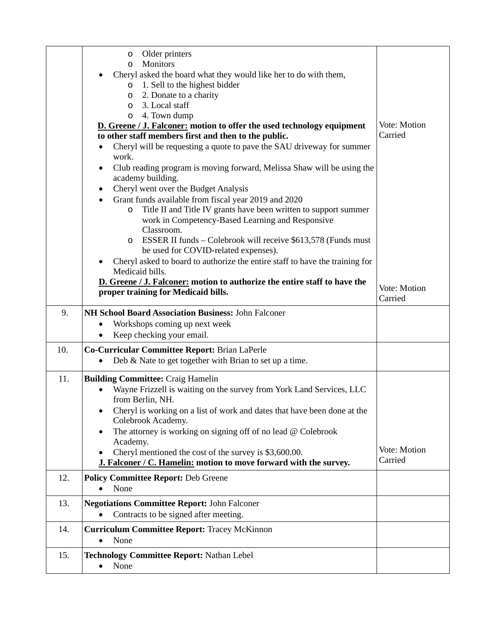|     | Older printers<br>$\circ$<br>Monitors<br>$\circ$                                                                 |                         |
|-----|------------------------------------------------------------------------------------------------------------------|-------------------------|
|     | Cheryl asked the board what they would like her to do with them,                                                 |                         |
|     | 1. Sell to the highest bidder<br>$\circ$                                                                         |                         |
|     | 2. Donate to a charity<br>$\circ$                                                                                |                         |
|     | 3. Local staff<br>$\circ$<br>4. Town dump<br>$\circ$                                                             |                         |
|     | D. Greene / J. Falconer: motion to offer the used technology equipment                                           | Vote: Motion            |
|     | to other staff members first and then to the public.                                                             | Carried                 |
|     | Cheryl will be requesting a quote to pave the SAU driveway for summer                                            |                         |
|     | work.                                                                                                            |                         |
|     | Club reading program is moving forward, Melissa Shaw will be using the<br>$\bullet$                              |                         |
|     | academy building.                                                                                                |                         |
|     | Cheryl went over the Budget Analysis<br>$\bullet$                                                                |                         |
|     | Grant funds available from fiscal year 2019 and 2020                                                             |                         |
|     | Title II and Title IV grants have been written to support summer<br>$\circ$                                      |                         |
|     | work in Competency-Based Learning and Responsive                                                                 |                         |
|     | Classroom.                                                                                                       |                         |
|     | ESSER II funds – Colebrook will receive \$613,578 (Funds must<br>$\circ$<br>be used for COVID-related expenses). |                         |
|     | Cheryl asked to board to authorize the entire staff to have the training for                                     |                         |
|     | Medicaid bills.                                                                                                  |                         |
|     | D. Greene / J. Falconer: motion to authorize the entire staff to have the                                        |                         |
|     | proper training for Medicaid bills.                                                                              | Vote: Motion<br>Carried |
|     |                                                                                                                  |                         |
| 9.  | NH School Board Association Business: John Falconer                                                              |                         |
|     | Workshops coming up next week<br>$\bullet$                                                                       |                         |
|     | Keep checking your email.<br>٠                                                                                   |                         |
| 10. | Co-Curricular Committee Report: Brian LaPerle                                                                    |                         |
|     | Deb & Nate to get together with Brian to set up a time.                                                          |                         |
| 11. | <b>Building Committee: Craig Hamelin</b>                                                                         |                         |
|     | Wayne Frizzell is waiting on the survey from York Land Services, LLC                                             |                         |
|     | from Berlin, NH.                                                                                                 |                         |
|     | Cheryl is working on a list of work and dates that have been done at the<br>Colebrook Academy.                   |                         |
|     | The attorney is working on signing off of no lead $@$ Colebrook                                                  |                         |
|     | Academy.                                                                                                         |                         |
|     | Cheryl mentioned the cost of the survey is \$3,600.00.                                                           | Vote: Motion            |
|     | J. Falconer / C. Hamelin: motion to move forward with the survey.                                                | Carried                 |
| 12. | <b>Policy Committee Report: Deb Greene</b>                                                                       |                         |
|     | None                                                                                                             |                         |
| 13. | <b>Negotiations Committee Report: John Falconer</b>                                                              |                         |
|     | Contracts to be signed after meeting.                                                                            |                         |
|     |                                                                                                                  |                         |
| 14. | <b>Curriculum Committee Report: Tracey McKinnon</b>                                                              |                         |
|     | None<br>$\bullet$                                                                                                |                         |
| 15. | <b>Technology Committee Report: Nathan Lebel</b>                                                                 |                         |
|     | None                                                                                                             |                         |